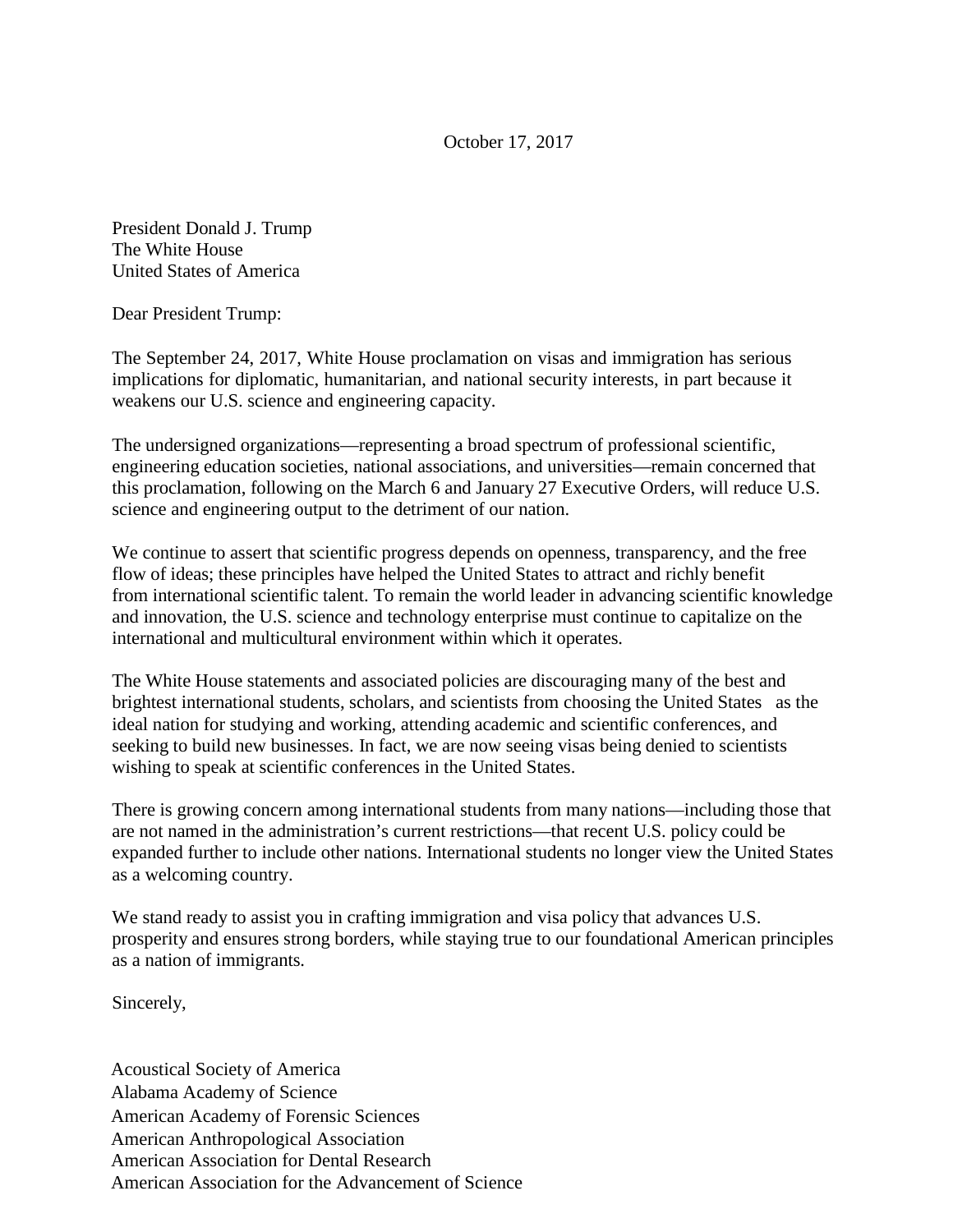October 17, 2017

President Donald J. Trump The White House United States of America

Dear President Trump:

The September 24, 2017, White House proclamation on visas and immigration has serious implications for diplomatic, humanitarian, and national security interests, in part because it weakens our U.S. science and engineering capacity.

The undersigned organizations—representing a broad spectrum of professional scientific, engineering education societies, national associations, and universities—remain concerned that this proclamation, following on the March 6 and January 27 Executive Orders, will reduce U.S. science and engineering output to the detriment of our nation.

We continue to assert that scientific progress depends on openness, transparency, and the free flow of ideas; these principles have helped the United States to attract and richly benefit from international scientific talent. To remain the world leader in advancing scientific knowledge and innovation, the U.S. science and technology enterprise must continue to capitalize on the international and multicultural environment within which it operates.

The White House statements and associated policies are discouraging many of the best and brightest international students, scholars, and scientists from choosing the United States as the ideal nation for studying and working, attending academic and scientific conferences, and seeking to build new businesses. In fact, we are now seeing visas being denied to scientists wishing to speak at scientific conferences in the United States.

There is growing concern among international students from many nations—including those that are not named in the administration's current restrictions—that recent U.S. policy could be expanded further to include other nations. International students no longer view the United States as a welcoming country.

We stand ready to assist you in crafting immigration and visa policy that advances U.S. prosperity and ensures strong borders, while staying true to our foundational American principles as a nation of immigrants.

Sincerely,

Acoustical Society of America Alabama Academy of Science American Academy of Forensic Sciences American Anthropological Association American Association for Dental Research American Association for the Advancement of Science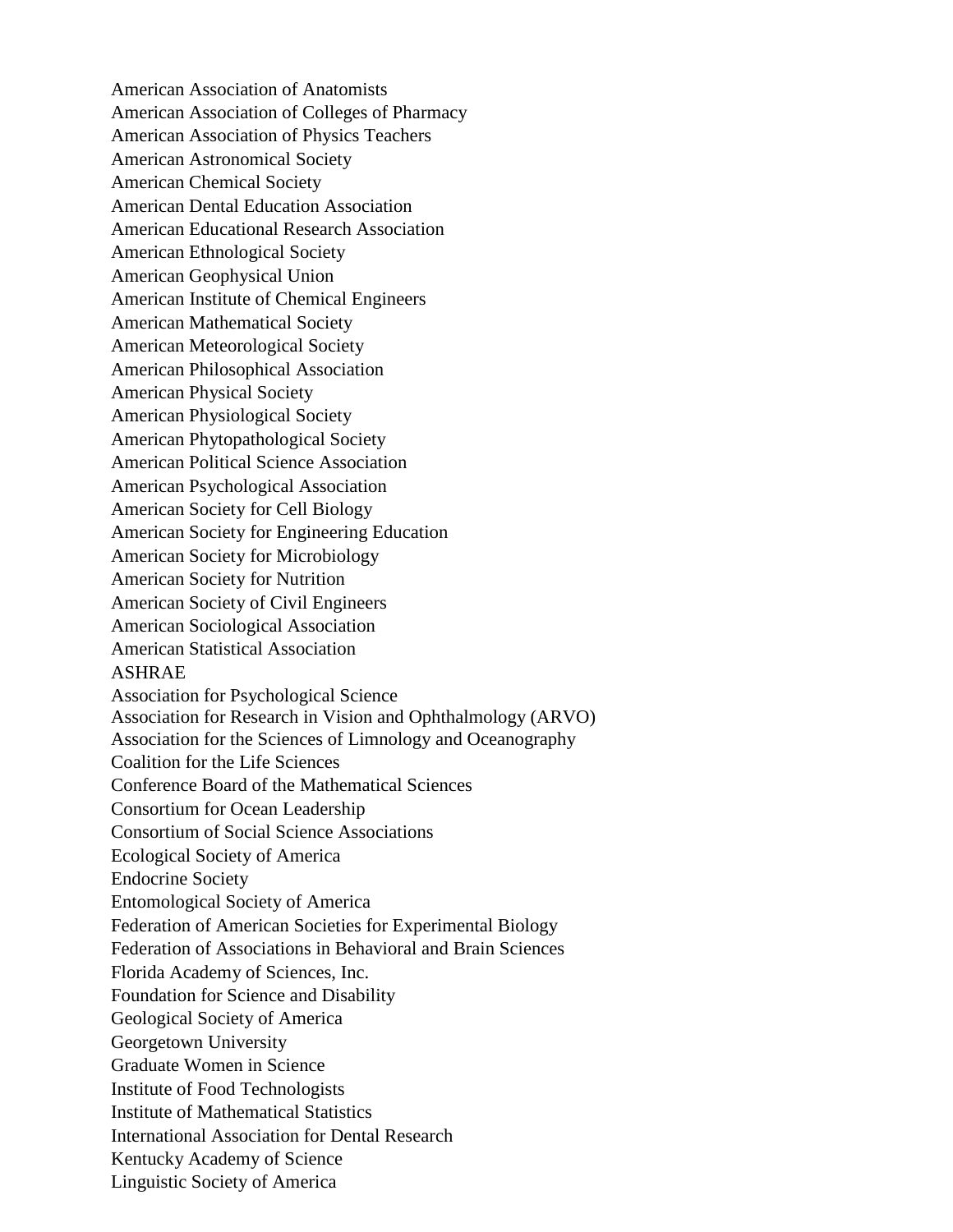American Association of Anatomists American Association of Colleges of Pharmacy American Association of Physics Teachers American Astronomical Society American Chemical Society American Dental Education Association American Educational Research Association American Ethnological Society American Geophysical Union American Institute of Chemical Engineers American Mathematical Society American Meteorological Society American Philosophical Association American Physical Society American Physiological Society American Phytopathological Society American Political Science Association American Psychological Association American Society for Cell Biology American Society for Engineering Education American Society for Microbiology American Society for Nutrition American Society of Civil Engineers American Sociological Association American Statistical Association ASHRAE Association for Psychological Science Association for Research in Vision and Ophthalmology (ARVO) Association for the Sciences of Limnology and Oceanography Coalition for the Life Sciences Conference Board of the Mathematical Sciences Consortium for Ocean Leadership Consortium of Social Science Associations Ecological Society of America Endocrine Society Entomological Society of America Federation of American Societies for Experimental Biology Federation of Associations in Behavioral and Brain Sciences Florida Academy of Sciences, Inc. Foundation for Science and Disability Geological Society of America Georgetown University Graduate Women in Science Institute of Food Technologists Institute of Mathematical Statistics International Association for Dental Research Kentucky Academy of Science Linguistic Society of America